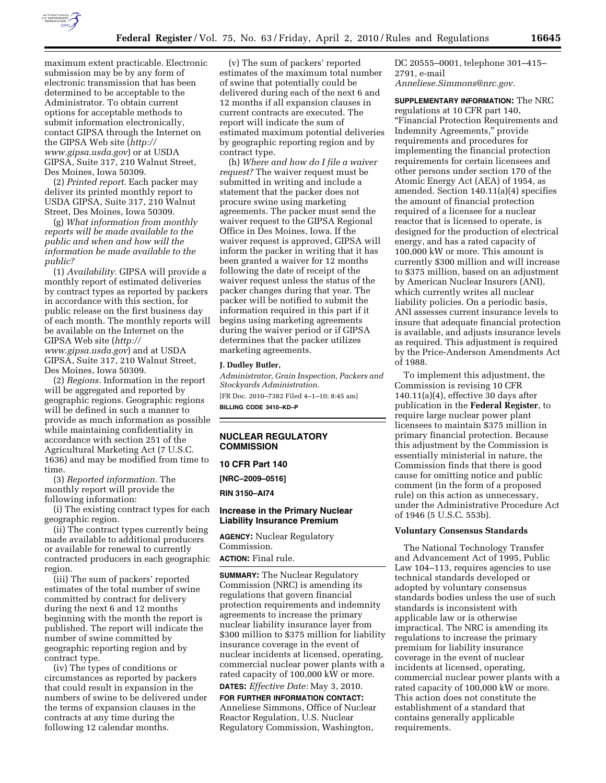

maximum extent practicable. Electronic submission may be by any form of electronic transmission that has been determined to be acceptable to the Administrator. To obtain current options for acceptable methods to submit information electronically, contact GIPSA through the Internet on the GIPSA Web site (*http:// www.gipsa.usda.gov*) or at USDA GIPSA, Suite 317, 210 Walnut Street, Des Moines, Iowa 50309.

(2) *Printed report.* Each packer may deliver its printed monthly report to USDA GIPSA, Suite 317, 210 Walnut Street, Des Moines, Iowa 50309.

(g) *What information from monthly reports will be made available to the public and when and how will the information be made available to the public?* 

(1) *Availability.* GIPSA will provide a monthly report of estimated deliveries by contract types as reported by packers in accordance with this section, for public release on the first business day of each month. The monthly reports will be available on the Internet on the GIPSA Web site (*http:// www.gipsa.usda.gov*) and at USDA GIPSA, Suite 317, 210 Walnut Street, Des Moines, Iowa 50309.

(2) *Regions.* Information in the report will be aggregated and reported by geographic regions. Geographic regions will be defined in such a manner to provide as much information as possible while maintaining confidentiality in accordance with section 251 of the Agricultural Marketing Act (7 U.S.C. 1636) and may be modified from time to time.

(3) *Reported information.* The monthly report will provide the following information:

(i) The existing contract types for each geographic region.

(ii) The contract types currently being made available to additional producers or available for renewal to currently contracted producers in each geographic region.

(iii) The sum of packers' reported estimates of the total number of swine committed by contract for delivery during the next 6 and 12 months beginning with the month the report is published. The report will indicate the number of swine committed by geographic reporting region and by contract type.

(iv) The types of conditions or circumstances as reported by packers that could result in expansion in the numbers of swine to be delivered under the terms of expansion clauses in the contracts at any time during the following 12 calendar months.

(v) The sum of packers' reported estimates of the maximum total number of swine that potentially could be delivered during each of the next 6 and 12 months if all expansion clauses in current contracts are executed. The report will indicate the sum of estimated maximum potential deliveries by geographic reporting region and by contract type.

(h) *Where and how do I file a waiver request?* The waiver request must be submitted in writing and include a statement that the packer does not procure swine using marketing agreements. The packer must send the waiver request to the GIPSA Regional Office in Des Moines, Iowa. If the waiver request is approved, GIPSA will inform the packer in writing that it has been granted a waiver for 12 months following the date of receipt of the waiver request unless the status of the packer changes during that year. The packer will be notified to submit the information required in this part if it begins using marketing agreements during the waiver period or if GIPSA determines that the packer utilizes marketing agreements.

#### **J. Dudley Butler,**

*Administrator, Grain Inspection, Packers and Stockyards Administration.*  [FR Doc. 2010–7382 Filed 4–1–10; 8:45 am] **BILLING CODE 3410–KD–P** 

## **NUCLEAR REGULATORY COMMISSION**

**10 CFR Part 140** 

**[NRC–2009–0516]** 

**RIN 3150–AI74** 

### **Increase in the Primary Nuclear Liability Insurance Premium**

**AGENCY:** Nuclear Regulatory Commission.

**ACTION:** Final rule.

**SUMMARY:** The Nuclear Regulatory Commission (NRC) is amending its regulations that govern financial protection requirements and indemnity agreements to increase the primary nuclear liability insurance layer from \$300 million to \$375 million for liability insurance coverage in the event of nuclear incidents at licensed, operating, commercial nuclear power plants with a rated capacity of 100,000 kW or more. **DATES:** *Effective Date:* May 3, 2010.

# **FOR FURTHER INFORMATION CONTACT:**

Anneliese Simmons, Office of Nuclear Reactor Regulation, U.S. Nuclear Regulatory Commission, Washington,

DC 20555–0001, telephone 301–415– 2791, e-mail *Anneliese.Simmons@nrc.gov.* 

**SUPPLEMENTARY INFORMATION:** The NRC regulations at 10 CFR part 140, ''Financial Protection Requirements and Indemnity Agreements,'' provide requirements and procedures for implementing the financial protection requirements for certain licensees and other persons under section 170 of the Atomic Energy Act (AEA) of 1954, as amended. Section 140.11(a)(4) specifies the amount of financial protection required of a licensee for a nuclear reactor that is licensed to operate, is designed for the production of electrical energy, and has a rated capacity of 100,000 kW or more. This amount is currently \$300 million and will increase to \$375 million, based on an adjustment by American Nuclear Insurers (ANI), which currently writes all nuclear liability policies. On a periodic basis, ANI assesses current insurance levels to insure that adequate financial protection is available, and adjusts insurance levels as required. This adjustment is required by the Price-Anderson Amendments Act of 1988.

To implement this adjustment, the Commission is revising 10 CFR 140.11(a)(4), effective 30 days after publication in the **Federal Register**, to require large nuclear power plant licensees to maintain \$375 million in primary financial protection. Because this adjustment by the Commission is essentially ministerial in nature, the Commission finds that there is good cause for omitting notice and public comment (in the form of a proposed rule) on this action as unnecessary, under the Administrative Procedure Act of 1946 (5 U.S.C. 553b).

#### **Voluntary Consensus Standards**

The National Technology Transfer and Advancement Act of 1995, Public Law 104–113, requires agencies to use technical standards developed or adopted by voluntary consensus standards bodies unless the use of such standards is inconsistent with applicable law or is otherwise impractical. The NRC is amending its regulations to increase the primary premium for liability insurance coverage in the event of nuclear incidents at licensed, operating, commercial nuclear power plants with a rated capacity of 100,000 kW or more. This action does not constitute the establishment of a standard that contains generally applicable requirements.